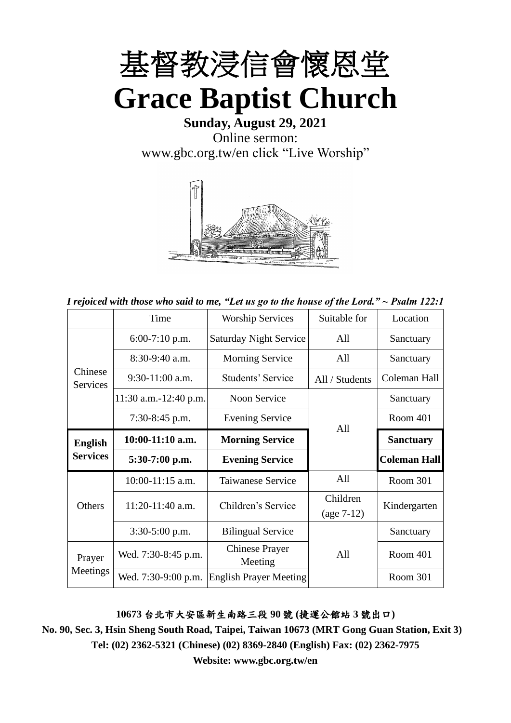

**Sunday, August 29, 2021** Online sermon: [www.gbc.org.tw/en](http://www.gbc.org.tw/en) click "Live Worship"



*I rejoiced with those who said to me, "Let us go to the house of the Lord." ~ Psalm 122:1*

|                                   | Time                  | <b>Worship Services</b>          | Suitable for             | Location            |
|-----------------------------------|-----------------------|----------------------------------|--------------------------|---------------------|
|                                   | $6:00-7:10$ p.m.      | <b>Saturday Night Service</b>    | All                      | Sanctuary           |
|                                   | $8:30-9:40$ a.m.      | <b>Morning Service</b>           | All                      | Sanctuary           |
| Chinese<br><b>Services</b>        | $9:30-11:00$ a.m.     | Students' Service                | All / Students           | Coleman Hall        |
|                                   | 11:30 a.m.-12:40 p.m. | Noon Service                     |                          | Sanctuary           |
|                                   | 7:30-8:45 p.m.        | <b>Evening Service</b>           | All                      | Room 401            |
| <b>English</b><br><b>Services</b> | 10:00-11:10 a.m.      | <b>Morning Service</b>           |                          | <b>Sanctuary</b>    |
|                                   | $5:30-7:00$ p.m.      | <b>Evening Service</b>           |                          | <b>Coleman Hall</b> |
|                                   | $10:00-11:15$ a.m.    | <b>Taiwanese Service</b>         | All                      | Room 301            |
| Others                            | $11:20-11:40$ a.m.    | Children's Service               | Children<br>$(age 7-12)$ | Kindergarten        |
|                                   | 3:30-5:00 p.m.        | <b>Bilingual Service</b>         |                          | Sanctuary           |
| Prayer                            | Wed. 7:30-8:45 p.m.   | <b>Chinese Prayer</b><br>Meeting | All                      | Room 401            |
| Meetings                          | Wed. 7:30-9:00 p.m.   | <b>English Prayer Meeting</b>    |                          | Room 301            |

**10673** 台北市大安區新生南路三段 **90** 號 **(**捷運公館站 **3** 號出口**)**

**No. 90, Sec. 3, Hsin Sheng South Road, Taipei, Taiwan 10673 (MRT Gong Guan Station, Exit 3) Tel: (02) 2362-5321 (Chinese) (02) 8369-2840 (English) Fax: (02) 2362-7975**

**Website: www.gbc.org.tw/en**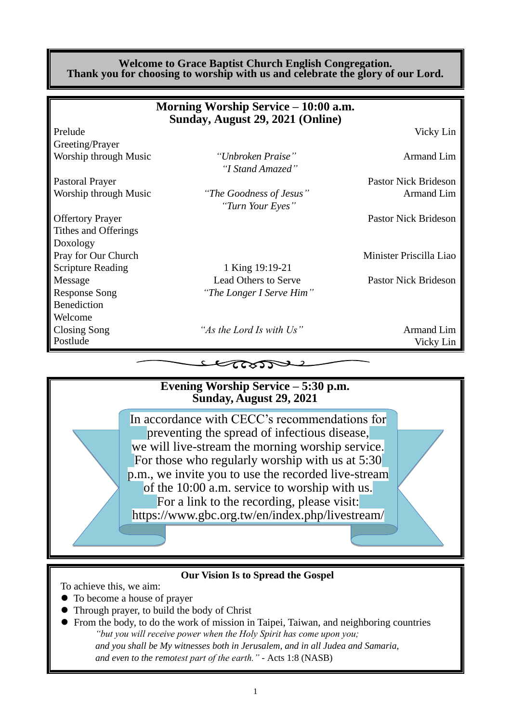#### **Welcome to Grace Baptist Church English Congregation. Thank you for choosing to worship with us and celebrate the glory of our Lord.**

|                          | Morning Worship Service – 10:00 a.m.<br>Sunday, August 29, 2021 (Online) |                             |
|--------------------------|--------------------------------------------------------------------------|-----------------------------|
| Prelude                  |                                                                          | Vicky Lin                   |
| Greeting/Prayer          |                                                                          |                             |
| Worship through Music    | "Unbroken Praise"<br>"I Stand Amazed"                                    | <b>Armand Lim</b>           |
| <b>Pastoral Prayer</b>   |                                                                          | <b>Pastor Nick Brideson</b> |
| Worship through Music    | "The Goodness of Jesus"<br>"Turn Your Eyes"                              | Armand Lim                  |
| <b>Offertory Prayer</b>  |                                                                          | <b>Pastor Nick Brideson</b> |
| Tithes and Offerings     |                                                                          |                             |
| Doxology                 |                                                                          |                             |
| Pray for Our Church      |                                                                          | Minister Priscilla Liao     |
| <b>Scripture Reading</b> | 1 King 19:19-21                                                          |                             |
| Message                  | <b>Lead Others to Serve</b>                                              | <b>Pastor Nick Brideson</b> |
| <b>Response Song</b>     | "The Longer I Serve Him"                                                 |                             |
| Benediction              |                                                                          |                             |
| Welcome                  |                                                                          |                             |
| Closing Song             | "As the Lord Is with Us"                                                 | Armand Lim                  |
| Postlude                 |                                                                          | Vicky Lin                   |
|                          |                                                                          |                             |

## **Evening Worship Service – 5:30 p.m. Sunday, August 29, 2021**

In accordance with CECC's recommendations for preventing the spread of infectious disease, we will live-stream the morning worship service. For those who regularly worship with us at 5:30 p.m., we invite you to use the recorded live-stream of the 10:00 a.m. service to worship with us. For a link to the recording, please visit: https://www.gbc.org.tw/en/index.php/livestream/

#### **Our Vision Is to Spread the Gospel**

To achieve this, we aim:

- ⚫ To become a house of prayer
- ⚫ Through prayer, to build the body of Christ
- ⚫ From the body, to do the work of mission in Taipei, Taiwan, and neighboring countries *"but you will receive power when the Holy Spirit has come upon you; and you shall be My witnesses both in Jerusalem, and in all Judea and Samaria, and even to the remotest part of the earth." -* Acts 1:8 (NASB)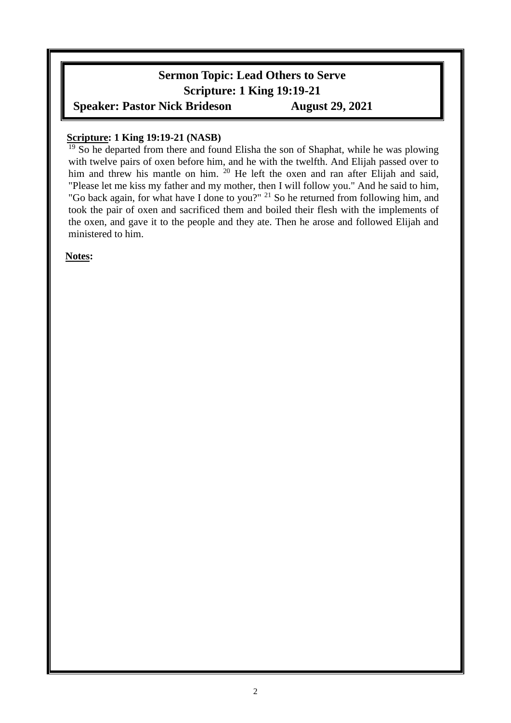# **Sermon Topic: Lead Others to Serve Scripture: 1 King 19:19-21 Speaker: Pastor Nick Brideson August 29, 2021**

### **Scripture: 1 King 19:19-21 (NASB)**

<sup>19</sup> So he departed from there and found Elisha the son of Shaphat, while he was plowing with twelve pairs of oxen before him, and he with the twelfth. And Elijah passed over to him and threw his mantle on him. <sup>20</sup> He left the oxen and ran after Elijah and said, "Please let me kiss my father and my mother, then I will follow you." And he said to him, "Go back again, for what have I done to you?" <sup>21</sup> So he returned from following him, and took the pair of oxen and sacrificed them and boiled their flesh with the implements of the oxen, and gave it to the people and they ate. Then he arose and followed Elijah and ministered to him.

#### **Notes:**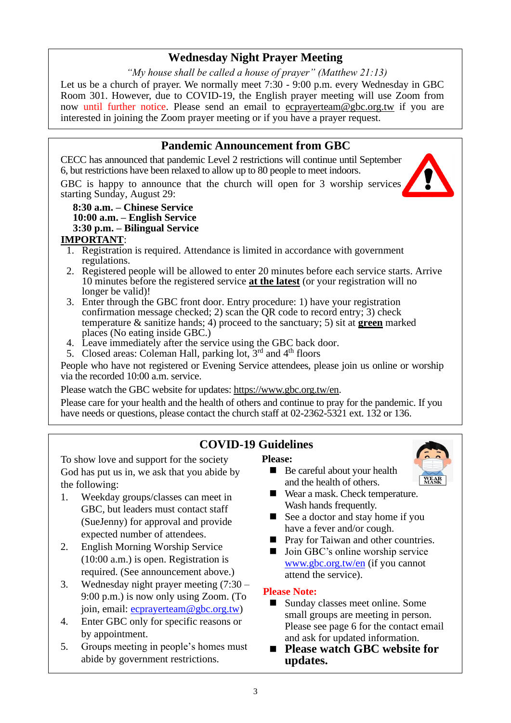## **Wednesday Night Prayer Meeting**

*"My house shall be called a house of prayer" (Matthew 21:13)* Let us be a church of prayer. We normally meet 7:30 - 9:00 p.m. every Wednesday in GBC Room 301. However, due to COVID-19, the English prayer meeting will use Zoom from now until further notice. Please send an email to ecprayerteam@gbc.org.tw if you are interested in joining the Zoom prayer meeting or if you have a prayer request.

#### **Pandemic Announcement from GBC** CECC has announced that pandemic Level 2 restrictions will continue until September 6, but restrictions have been relaxed to allow up to 80 people to meet indoors.

GBC is happy to announce that the church will open for 3 worship services starting Sunday, August 29:

#### **8:30 a.m. – Chinese Service 10:00 a.m. – English Service 3:30 p.m. – Bilingual Service**

### **IMPORTANT**:

- 1. Registration is required. Attendance is limited in accordance with government regulations.
- 2. Registered people will be allowed to enter 20 minutes before each service starts. Arrive 10 minutes before the registered service **at the latest** (or your registration will no longer be valid)!
- 3. Enter through the GBC front door. Entry procedure: 1) have your registration confirmation message checked; 2) scan the QR code to record entry; 3) check temperature & sanitize hands; 4) proceed to the sanctuary; 5) sit at **green** marked places (No eating inside GBC.)
- 4. Leave immediately after the service using the GBC back door.
- 5. Closed areas: Coleman Hall, parking lot,  $3<sup>rd</sup>$  and  $4<sup>th</sup>$  floors

People who have not registered or Evening Service attendees, please join us online or worship via the recorded 10:00 a.m. service.

Please watch the GBC website for updates: [https://www.gbc.org.tw/en.](https://www.gbc.org.tw/en)

Please care for your health and the health of others and continue to pray for the pandemic. If you have needs or questions, please contact the church staff at 02-2362-5321 ext. 132 or 136.

# **COVID-19 Guidelines**

To show love and support for the society God has put us in, we ask that you abide by the following:

- 1. Weekday groups/classes can meet in GBC, but leaders must contact staff (SueJenny) for approval and provide expected number of attendees.
- 2. English Morning Worship Service (10:00 a.m.) is open. Registration is required. (See announcement above.)
- 3. Wednesday night prayer meeting (7:30 9:00 p.m.) is now only using Zoom. (To join, email: [ecprayerteam@gbc.org.tw\)](mailto:ecprayerteam@gbc.org.tw)
- 4. Enter GBC only for specific reasons or by appointment.
- 5. Groups meeting in people's homes must abide by government restrictions.

#### **Please:**

- Be careful about your health and the health of others.
- **WEAR**<br>MASK
- Wear a mask. Check temperature. Wash hands frequently.
- See a doctor and stay home if you have a fever and/or cough.
- Pray for Taiwan and other countries.
- Join GBC's online worship service [www.gbc.org.tw/en](http://www.gbc.org.tw/en) (if you cannot attend the service).

#### **Please Note:**

- Sunday classes meet online. Some small groups are meeting in person. Please see page 6 for the contact email and ask for updated information.
- **Please watch GBC website for updates.**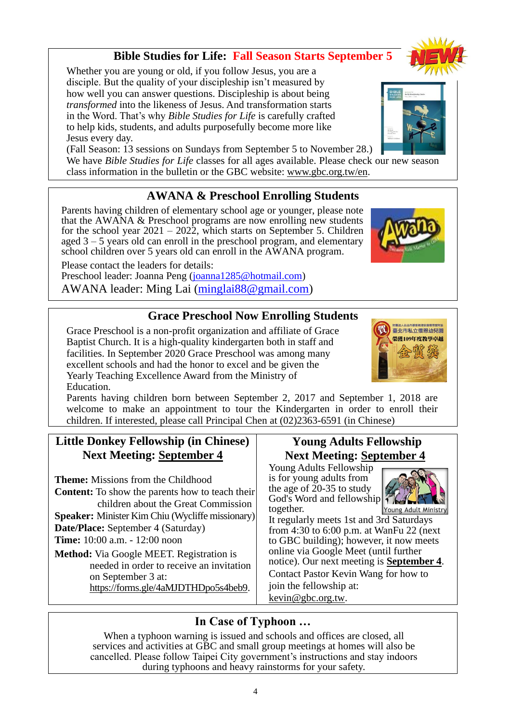## **Bible Studies for Life: Fall Season Starts September 5**

Whether you are young or old, if you follow Jesus, you are a disciple. But the quality of your discipleship isn't measured by how well you can answer questions. Discipleship is about being *transformed* into the likeness of Jesus. And transformation starts in the Word. That's why *Bible Studies for Life* is carefully crafted to help kids, students, and adults purposefully become more like Jesus every day.

(Fall Season: 13 sessions on Sundays from September 5 to November 28.)

We have *Bible Studies for Life* classes for all ages available. Please check our new season class information in the bulletin or the GBC website: www.gbc.org.tw/en.

## **AWANA & Preschool Enrolling Students**

Parents having children of elementary school age or younger, please note that the AWANA & Preschool programs are now enrolling new students for the school year  $2021 - 2022$ , which starts on September 5. Children aged 3 – 5 years old can enroll in the preschool program, and elementary school children over 5 years old can enroll in the AWANA program.

Please contact the leaders for details:

Preschool leader: Joanna Peng [\(joanna1285@hotmail.com\)](mailto:joanna1285@hotmail.com) AWANA leader: Ming Lai [\(minglai88@gmail.com\)](mailto:minglai88@gmail.com)

### **Grace Preschool Now Enrolling Students**

Grace Preschool is a non-profit organization and affiliate of Grace Baptist Church. It is a high-quality kindergarten both in staff and facilities. In September 2020 Grace Preschool was among many excellent schools and had the honor to excel and be given the Yearly Teaching Excellence Award from the Ministry of Education.

Parents having children born between September 2, 2017 and September 1, 2018 are welcome to make an appointment to tour the Kindergarten in order to enroll their children. If interested, please call Principal Chen at (02)2363-6591 (in Chinese)

## **Little Donkey Fellowship (in Chinese) Next Meeting: September 4**

**Theme:** Missions from the Childhood **Content:** To show the parents how to teach their children about the Great Commission **Speaker:** Minister Kim Chiu (Wycliffe missionary) **Date/Place:** September 4 (Saturday) **Time:** 10:00 a.m. - 12:00 noon

**Method:** Via Google MEET. Registration is needed in order to receive an invitation on September 3 at: [https://forms.gle/4aMJDTHDpo5s4beb9.](https://forms.gle/4aMJDTHDpo5s4beb9)

## **Young Adults Fellowship Next Meeting: September 4**

Young Adults Fellowship is for young adults from the age of 20-35 to study God's Word and fellowship together.

Young Adult Ministry It regularly meets 1st and 3rd Saturdays from 4:30 to 6:00 p.m. at WanFu 22 (next to GBC building); however, it now meets online via Google Meet (until further notice). Our next meeting is **September 4**. Contact Pastor Kevin Wang for how to join the fellowship at:

[kevin@gbc.org.tw.](mailto:kevin@gbc.org.tw)

## **In Case of Typhoon …**

When a typhoon warning is issued and schools and offices are closed, all services and activities at GBC and small group meetings at homes will also be cancelled. Please follow Taipei City government's instructions and stay indoors during typhoons and heavy rainstorms for your safety.





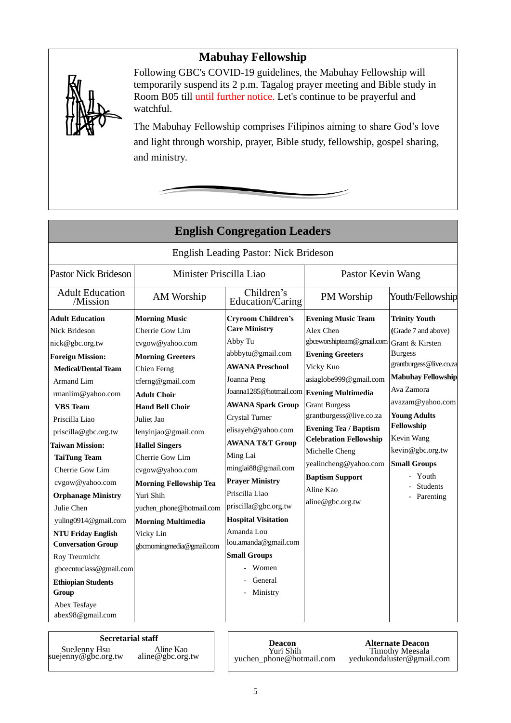## **Mabuhay Fellowship**



Following GBC's COVID-19 guidelines, the Mabuhay Fellowship will temporarily suspend its 2 p.m. Tagalog prayer meeting and Bible study in Room B05 till until further notice. Let's continue to be prayerful and watchful.

The Mabuhay Fellowship comprises Filipinos aiming to share God's love and light through worship, prayer, Bible study, fellowship, gospel sharing, and ministry.

|                                                                                                                                                                                                                                                                                                                                                                                                                                                                                                                                   |                                                                                                                                                                                                                                                                                                                                                                                                                               | <b>English Congregation Leaders</b>                                                                                                                                                                                                                                                                                                                                                                                                                                                                         |                                                                                                                                                                                                                                                                                                                                                                 |                                                                                                                                                                                                                                                                                                                   |
|-----------------------------------------------------------------------------------------------------------------------------------------------------------------------------------------------------------------------------------------------------------------------------------------------------------------------------------------------------------------------------------------------------------------------------------------------------------------------------------------------------------------------------------|-------------------------------------------------------------------------------------------------------------------------------------------------------------------------------------------------------------------------------------------------------------------------------------------------------------------------------------------------------------------------------------------------------------------------------|-------------------------------------------------------------------------------------------------------------------------------------------------------------------------------------------------------------------------------------------------------------------------------------------------------------------------------------------------------------------------------------------------------------------------------------------------------------------------------------------------------------|-----------------------------------------------------------------------------------------------------------------------------------------------------------------------------------------------------------------------------------------------------------------------------------------------------------------------------------------------------------------|-------------------------------------------------------------------------------------------------------------------------------------------------------------------------------------------------------------------------------------------------------------------------------------------------------------------|
|                                                                                                                                                                                                                                                                                                                                                                                                                                                                                                                                   |                                                                                                                                                                                                                                                                                                                                                                                                                               | <b>English Leading Pastor: Nick Brideson</b>                                                                                                                                                                                                                                                                                                                                                                                                                                                                |                                                                                                                                                                                                                                                                                                                                                                 |                                                                                                                                                                                                                                                                                                                   |
| <b>Pastor Nick Brideson</b><br>Minister Priscilla Liao                                                                                                                                                                                                                                                                                                                                                                                                                                                                            |                                                                                                                                                                                                                                                                                                                                                                                                                               | Pastor Kevin Wang                                                                                                                                                                                                                                                                                                                                                                                                                                                                                           |                                                                                                                                                                                                                                                                                                                                                                 |                                                                                                                                                                                                                                                                                                                   |
| <b>Adult Education</b><br>/Mission                                                                                                                                                                                                                                                                                                                                                                                                                                                                                                | AM Worship                                                                                                                                                                                                                                                                                                                                                                                                                    | Children's<br>Education/Caring                                                                                                                                                                                                                                                                                                                                                                                                                                                                              | PM Worship                                                                                                                                                                                                                                                                                                                                                      | Youth/Fellowship                                                                                                                                                                                                                                                                                                  |
| <b>Adult Education</b><br>Nick Brideson<br>nick@gbc.org.tw<br><b>Foreign Mission:</b><br><b>Medical/Dental Team</b><br><b>Armand Lim</b><br>rmanlim@yahoo.com<br><b>VBS</b> Team<br>Priscilla Liao<br>priscilla@gbc.org.tw<br><b>Taiwan Mission:</b><br><b>TaiTung Team</b><br>Cherrie Gow Lim<br>cvgow@yahoo.com<br><b>Orphanage Ministry</b><br>Julie Chen<br>yuling0914@gmail.com<br><b>NTU Friday English</b><br><b>Conversation Group</b><br>Roy Treurnicht<br>gbcecntuclass@gmail.com<br><b>Ethiopian Students</b><br>Group | <b>Morning Music</b><br>Cherrie Gow Lim<br>cvgow@yahoo.com<br><b>Morning Greeters</b><br>Chien Ferng<br>cferng@gmail.com<br><b>Adult Choir</b><br><b>Hand Bell Choir</b><br>Juliet Jao<br>lenyinjao@gmail.com<br><b>Hallel Singers</b><br>Cherrie Gow Lim<br>cvgow@yahoo.com<br><b>Morning Fellowship Tea</b><br>Yuri Shih<br>yuchen_phone@hotmail.com<br><b>Morning Multimedia</b><br>Vicky Lin<br>gbcmorningmedia@gmail.com | <b>Cryroom Children's</b><br><b>Care Ministry</b><br>Abby Tu<br>abbbytu@gmail.com<br><b>AWANA Preschool</b><br>Joanna Peng<br>Joanna1285@hotmail.com Evening Multimedia<br><b>AWANA Spark Group</b><br>Crystal Turner<br>elisayeh@yahoo.com<br><b>AWANA T&amp;T Group</b><br>Ming Lai<br>minglai88@gmail.com<br><b>Prayer Ministry</b><br>Priscilla Liao<br>priscilla@gbc.org.tw<br><b>Hospital Visitation</b><br>Amanda Lou<br>lou.amanda@gmail.com<br><b>Small Groups</b><br>Women<br>General<br>Ministry | <b>Evening Music Team</b><br>Alex Chen<br>gbceworshipteam@gmail.com<br><b>Evening Greeters</b><br>Vicky Kuo<br>asiaglobe999@gmail.com<br><b>Grant Burgess</b><br>grantburgess@live.co.za<br><b>Evening Tea / Baptism</b><br><b>Celebration Fellowship</b><br>Michelle Cheng<br>yealincheng@yahoo.com<br><b>Baptism Support</b><br>Aline Kao<br>aline@gbc.org.tw | <b>Trinity Youth</b><br>(Grade 7 and above)<br>Grant & Kirsten<br><b>Burgess</b><br>grantburgess@live.co.za<br><b>Mabuhay Fellowship</b><br>Ava Zamora<br>avazam@yahoo.com<br><b>Young Adults</b><br>Fellowship<br>Kevin Wang<br>kevin@gbc.org.tw<br><b>Small Groups</b><br>Youth<br><b>Students</b><br>Parenting |
| Abex Tesfaye<br>abex98@gmail.com                                                                                                                                                                                                                                                                                                                                                                                                                                                                                                  |                                                                                                                                                                                                                                                                                                                                                                                                                               |                                                                                                                                                                                                                                                                                                                                                                                                                                                                                                             |                                                                                                                                                                                                                                                                                                                                                                 |                                                                                                                                                                                                                                                                                                                   |

**Secretarial staff Deacon** SueJenny Hsu suejenny@gbc.org.tw Aline Kao aline@gbc.org.tw

Yuri Shih yuchen\_phone@hotmail.com

**Alternate Deacon** Timothy Meesala [yedukondaluster@gmail.com](mailto:yedukondaluster@gmail.com)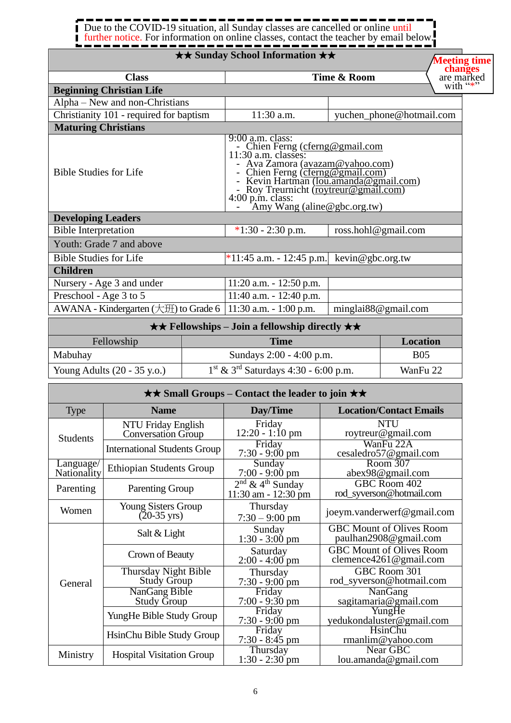# Due to the COVID-19 situation, all Sunday classes are cancelled or online until further notice. For information on online classes, contact the teacher by email below.

## ★★ **Sunday School Information** ★★

|                                           |  | $\star\star$ Sunday School Information $\star\star$                                                                                                                                                                                                                                       |                     |                          | <b>Meeting time</b>                             |
|-------------------------------------------|--|-------------------------------------------------------------------------------------------------------------------------------------------------------------------------------------------------------------------------------------------------------------------------------------------|---------------------|--------------------------|-------------------------------------------------|
| <b>Class</b>                              |  | Time & Room                                                                                                                                                                                                                                                                               |                     |                          | changes<br>are marked<br>with $\cdot\cdot\cdot$ |
| <b>Beginning Christian Life</b>           |  |                                                                                                                                                                                                                                                                                           |                     |                          |                                                 |
| Alpha – New and non-Christians            |  |                                                                                                                                                                                                                                                                                           |                     |                          |                                                 |
| Christianity 101 - required for baptism   |  | 11:30 a.m.                                                                                                                                                                                                                                                                                |                     | yuchen_phone@hotmail.com |                                                 |
| <b>Maturing Christians</b>                |  |                                                                                                                                                                                                                                                                                           |                     |                          |                                                 |
| <b>Bible Studies for Life</b>             |  | 9:00 a.m. class:<br>- Chien Ferng (cferng@gmail.com<br>11:30 a.m. classes:<br>Ava Zamora (avazam@yahoo.com)<br>Chien Ferng (cferng@gmail.com)<br>Kevin Hartman ( <u>lou.amanda@gmail.com)</u><br>Roy Treurnicht (roytreur@gmail.com)<br>$4:00$ p.m. class:<br>Amy Wang (aline@gbc.org.tw) |                     |                          |                                                 |
| <b>Developing Leaders</b>                 |  |                                                                                                                                                                                                                                                                                           |                     |                          |                                                 |
| <b>Bible Interpretation</b>               |  | $*1:30 - 2:30$ p.m.                                                                                                                                                                                                                                                                       |                     | ross.hohl@gmail.com      |                                                 |
| Youth: Grade 7 and above                  |  |                                                                                                                                                                                                                                                                                           |                     |                          |                                                 |
| <b>Bible Studies for Life</b>             |  | *11:45 a.m. - 12:45 p.m. kevin@gbc.org.tw                                                                                                                                                                                                                                                 |                     |                          |                                                 |
| <b>Children</b>                           |  |                                                                                                                                                                                                                                                                                           |                     |                          |                                                 |
| Nursery - Age 3 and under                 |  | $11:20$ a.m. $-12:50$ p.m.                                                                                                                                                                                                                                                                |                     |                          |                                                 |
| Preschool - Age 3 to 5                    |  | 11:40 a.m. $- 12:40$ p.m.                                                                                                                                                                                                                                                                 |                     |                          |                                                 |
| AWANA - Kindergarten $(\pm 1)$ to Grade 6 |  | $11:30$ a.m. $-1:00$ p.m.                                                                                                                                                                                                                                                                 | minglai88@gmail.com |                          |                                                 |
|                                           |  | $\star \star$ Fellowships – Join a fellowship directly $\star \star$                                                                                                                                                                                                                      |                     |                          |                                                 |
| Fellowship                                |  | <b>Time</b>                                                                                                                                                                                                                                                                               |                     | <b>Location</b>          |                                                 |
| Mabuhay                                   |  | Sundays 2:00 - 4:00 p.m.                                                                                                                                                                                                                                                                  |                     | <b>B05</b>               |                                                 |

1<sup>st</sup> & 3<sup>rd</sup> Saturdays 4:30 - 6:00 p.m. WanFu 22

| $\star\star$ Small Groups – Contact the leader to join $\star\star$ |                                                     |                                                          |                                                               |  |
|---------------------------------------------------------------------|-----------------------------------------------------|----------------------------------------------------------|---------------------------------------------------------------|--|
| <b>Type</b>                                                         | <b>Name</b>                                         | Day/Time                                                 | <b>Location/Contact Emails</b>                                |  |
| <b>Students</b>                                                     | NTU Friday English<br><b>Conversation Group</b>     | Friday<br>$12:20 - 1:10$ pm                              | <b>NTU</b><br>roytreur@gmail.com                              |  |
|                                                                     | <b>International Students Group</b>                 | Friday<br>7:30 - 9:00 pm                                 | WanFu 22A<br>cesaledro57@gmail.com                            |  |
| Language/<br>Nationality                                            | <b>Ethiopian Students Group</b>                     | Sunday<br>$7:00 - 9:00 \text{ pm}$                       | Room 307<br>abex98@gmail.com                                  |  |
| Parenting                                                           | <b>Parenting Group</b>                              | $2^{nd}$ & 4 <sup>th</sup> Sunday<br>11:30 am - 12:30 pm | GBC Room 402<br>rod_syverson@hotmail.com                      |  |
| Women                                                               | <b>Young Sisters Group</b><br>$(20-35 \text{ yrs})$ | Thursday<br>$7:30 - 9:00$ pm                             | joeym.vanderwerf@gmail.com                                    |  |
|                                                                     | Salt & Light                                        | Sunday<br>$1:30 - 3:00$ pm                               | <b>GBC Mount of Olives Room</b><br>paulhan2908@gmail.com      |  |
| General                                                             | Crown of Beauty                                     | Saturday<br>$2:00 - 4:00$ pm                             | <b>GBC Mount of Olives Room</b><br>clemence $4261$ @gmail.com |  |
|                                                                     | Thursday Night Bible<br><b>Study Group</b>          | Thursday<br>$7:30 - 9:00$ pm                             | GBC Room 301<br>rod_syverson@hotmail.com                      |  |
|                                                                     | NanGang Bible<br>Study Group                        | Friday<br>$7:00 - 9:30$ pm                               | NanGang<br>sagitamaria@gmail.com                              |  |
|                                                                     | YungHe Bible Study Group                            | Friday<br>$7:30 - 9:00 \text{ pm}$                       | YungHe<br>yedukondaluster@gmail.com                           |  |
|                                                                     | HsinChu Bible Study Group                           | Friday<br>$7:30 - 8:45$ pm                               | <b>HsinChu</b><br>$r$ manlim@yahoo.com                        |  |
| Ministry                                                            | <b>Hospital Visitation Group</b>                    | Thursday<br>$1:30 - 2:30$ pm                             | Near GBC<br>lou.amanda@gmail.com                              |  |

Young Adults (20 - 35 y.o.) 1